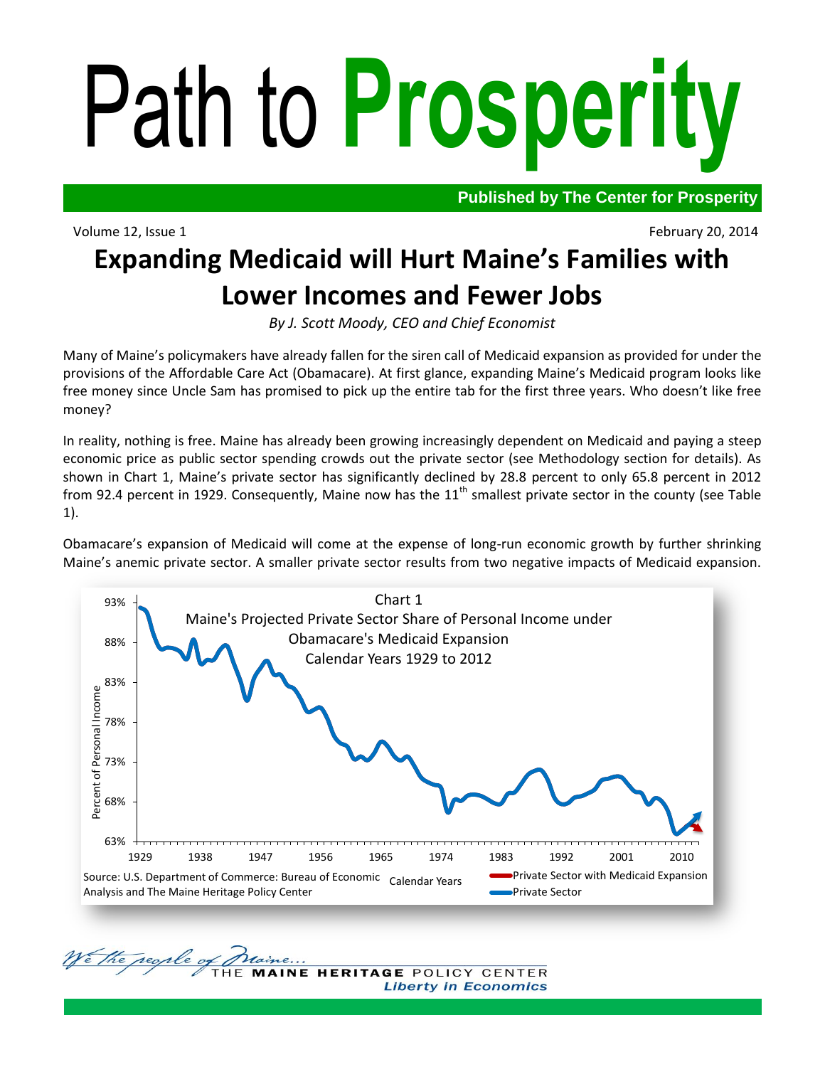# Path to **Prosperity**

Volume 12, Issue 1 February 20, 2014

We the regile of

**Published by The Center for Prosperity**

# **Expanding Medicaid will Hurt Maine's Families with Lower Incomes and Fewer Jobs**

*By J. Scott Moody, CEO and Chief Economist*

Many of Maine's policymakers have already fallen for the siren call of Medicaid expansion as provided for under the provisions of the Affordable Care Act (Obamacare). At first glance, expanding Maine's Medicaid program looks like free money since Uncle Sam has promised to pick up the entire tab for the first three years. Who doesn't like free money?

In reality, nothing is free. Maine has already been growing increasingly dependent on Medicaid and paying a steep economic price as public sector spending crowds out the private sector (see Methodology section for details). As shown in Chart 1, Maine's private sector has significantly declined by 28.8 percent to only 65.8 percent in 2012 from 92.4 percent in 1929. Consequently, Maine now has the  $11<sup>th</sup>$  smallest private sector in the county (see Table 1).

Obamacare's expansion of Medicaid will come at the expense of long-run economic growth by further shrinking Maine's anemic private sector. A smaller private sector results from two negative impacts of Medicaid expansion.



HERITAGE POLICY CENTER **Liberty in Economics**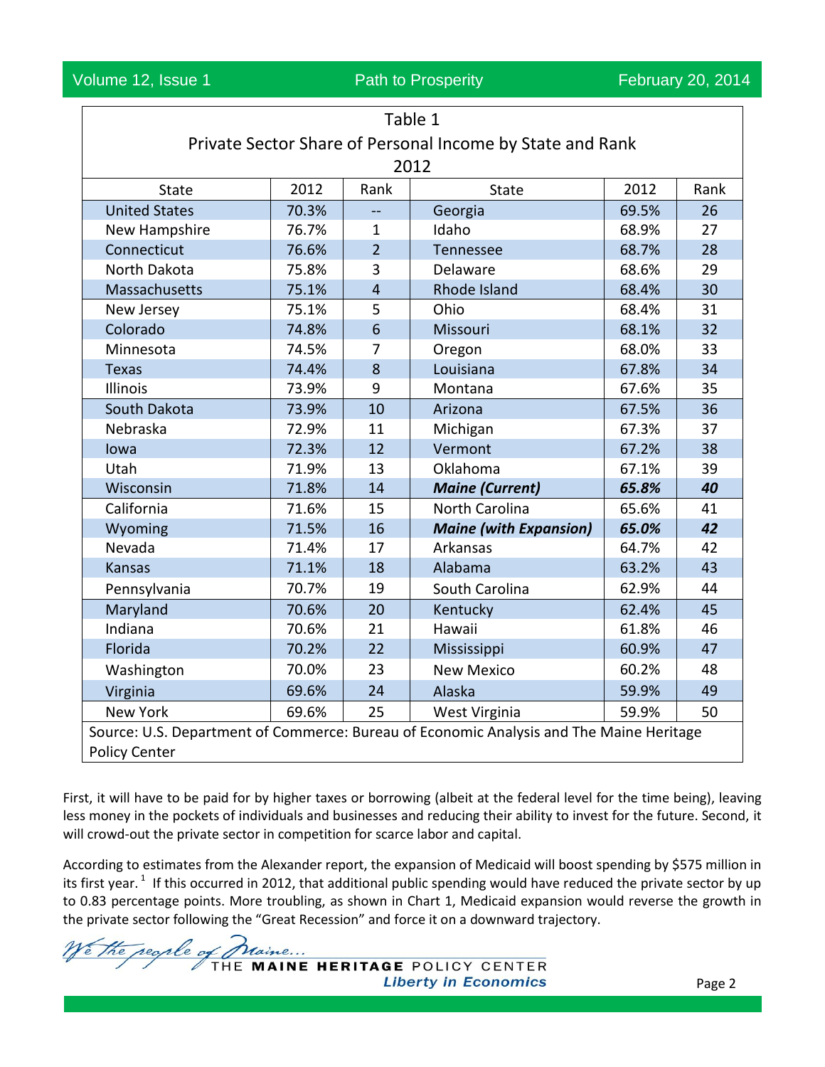Volume 12, Issue 1 **Path to Prosperity** February 20, 2014

| Table 1                                                                                 |       |                         |                               |       |      |  |  |
|-----------------------------------------------------------------------------------------|-------|-------------------------|-------------------------------|-------|------|--|--|
| Private Sector Share of Personal Income by State and Rank                               |       |                         |                               |       |      |  |  |
| 2012                                                                                    |       |                         |                               |       |      |  |  |
| <b>State</b>                                                                            | 2012  | Rank                    | State                         | 2012  | Rank |  |  |
| <b>United States</b>                                                                    | 70.3% | uu.                     | Georgia                       | 69.5% | 26   |  |  |
| New Hampshire                                                                           | 76.7% | $\mathbf{1}$            | Idaho                         | 68.9% | 27   |  |  |
| Connecticut                                                                             | 76.6% | $\overline{2}$          | Tennessee                     | 68.7% | 28   |  |  |
| North Dakota                                                                            | 75.8% | 3                       | Delaware                      | 68.6% | 29   |  |  |
| Massachusetts                                                                           | 75.1% | $\overline{\mathbf{4}}$ | Rhode Island                  | 68.4% | 30   |  |  |
| New Jersey                                                                              | 75.1% | 5                       | Ohio                          | 68.4% | 31   |  |  |
| Colorado                                                                                | 74.8% | 6                       | Missouri                      | 68.1% | 32   |  |  |
| Minnesota                                                                               | 74.5% | $\overline{7}$          | Oregon                        | 68.0% | 33   |  |  |
| <b>Texas</b>                                                                            | 74.4% | 8                       | Louisiana                     | 67.8% | 34   |  |  |
| Illinois                                                                                | 73.9% | 9                       | Montana                       | 67.6% | 35   |  |  |
| South Dakota                                                                            | 73.9% | 10                      | Arizona                       | 67.5% | 36   |  |  |
| Nebraska                                                                                | 72.9% | 11                      | Michigan                      | 67.3% | 37   |  |  |
| Iowa                                                                                    | 72.3% | 12                      | Vermont                       | 67.2% | 38   |  |  |
| Utah                                                                                    | 71.9% | 13                      | Oklahoma                      | 67.1% | 39   |  |  |
| Wisconsin                                                                               | 71.8% | 14                      | <b>Maine (Current)</b>        | 65.8% | 40   |  |  |
| California                                                                              | 71.6% | 15                      | North Carolina                | 65.6% | 41   |  |  |
| Wyoming                                                                                 | 71.5% | 16                      | <b>Maine (with Expansion)</b> | 65.0% | 42   |  |  |
| Nevada                                                                                  | 71.4% | 17                      | Arkansas                      | 64.7% | 42   |  |  |
| <b>Kansas</b>                                                                           | 71.1% | 18                      | Alabama                       | 63.2% | 43   |  |  |
| Pennsylvania                                                                            | 70.7% | 19                      | South Carolina                | 62.9% | 44   |  |  |
| Maryland                                                                                | 70.6% | 20                      | Kentucky                      | 62.4% | 45   |  |  |
| Indiana                                                                                 | 70.6% | 21                      | Hawaii                        | 61.8% | 46   |  |  |
| Florida                                                                                 | 70.2% | 22                      | Mississippi                   | 60.9% | 47   |  |  |
| Washington                                                                              | 70.0% | 23                      | <b>New Mexico</b>             | 60.2% | 48   |  |  |
| Virginia                                                                                | 69.6% | 24                      | Alaska                        | 59.9% | 49   |  |  |
| <b>New York</b>                                                                         | 69.6% | 25                      | West Virginia                 | 59.9% | 50   |  |  |
| Source: U.S. Department of Commerce: Bureau of Economic Analysis and The Maine Heritage |       |                         |                               |       |      |  |  |
| <b>Policy Center</b>                                                                    |       |                         |                               |       |      |  |  |

First, it will have to be paid for by higher taxes or borrowing (albeit at the federal level for the time being), leaving less money in the pockets of individuals and businesses and reducing their ability to invest for the future. Second, it will crowd-out the private sector in competition for scarce labor and capital.

According to estimates from the Alexander report, the expansion of Medicaid will boost spending by \$575 million in its first year.<sup>1</sup> If this occurred in 2012, that additional public spending would have reduced the private sector by up to 0.83 percentage points. More troubling, as shown in Chart 1, Medicaid expansion would reverse the growth in the private sector following the "Great Recession" and force it on a downward trajectory.

the regile of praine ... THE MAINE HERITAGE POLICY CENTER **Liberty in Economics**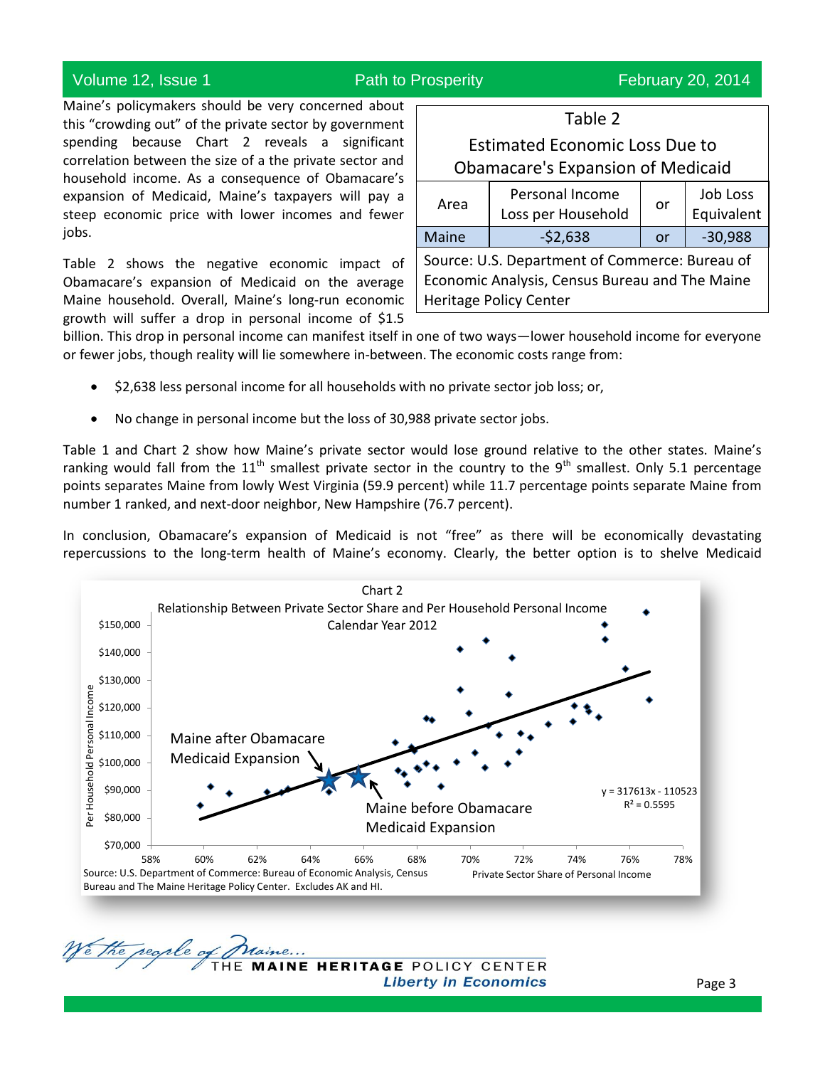# Volume 12, Issue 1 **Path to Prosperity** February 20, 2014

Maine's policymakers should be very concerned about this "crowding out" of the private sector by government spending because Chart 2 reveals a significant correlation between the size of a the private sector and household income. As a consequence of Obamacare's expansion of Medicaid, Maine's taxpayers will pay a steep economic price with lower incomes and fewer jobs.

Table 2 shows the negative economic impact of Obamacare's expansion of Medicaid on the average Maine household. Overall, Maine's long-run economic growth will suffer a drop in personal income of \$1.5

| <b>Estimated Economic Loss Due to</b><br><b>Obamacare's Expansion of Medicaid</b>                                                 |                                       |    |                        |  |  |
|-----------------------------------------------------------------------------------------------------------------------------------|---------------------------------------|----|------------------------|--|--|
| Area                                                                                                                              | Personal Income<br>Loss per Household | or | Job Loss<br>Equivalent |  |  |
| Maine                                                                                                                             | $-52,638$                             | or | $-30,988$              |  |  |
| Source: U.S. Department of Commerce: Bureau of<br>Economic Analysis, Census Bureau and The Maine<br><b>Heritage Policy Center</b> |                                       |    |                        |  |  |

Table 2

billion. This drop in personal income can manifest itself in one of two ways—lower household income for everyone or fewer jobs, though reality will lie somewhere in-between. The economic costs range from:

- \$2,638 less personal income for all households with no private sector job loss; or,
- No change in personal income but the loss of 30,988 private sector jobs.

Table 1 and Chart 2 show how Maine's private sector would lose ground relative to the other states. Maine's ranking would fall from the  $11^{th}$  smallest private sector in the country to the 9<sup>th</sup> smallest. Only 5.1 percentage points separates Maine from lowly West Virginia (59.9 percent) while 11.7 percentage points separate Maine from number 1 ranked, and next-door neighbor, New Hampshire (76.7 percent).

In conclusion, Obamacare's expansion of Medicaid is not "free" as there will be economically devastating repercussions to the long-term health of Maine's economy. Clearly, the better option is to shelve Medicaid



Ve the regile of **MAINE HERITAGE POLICY CENTER**